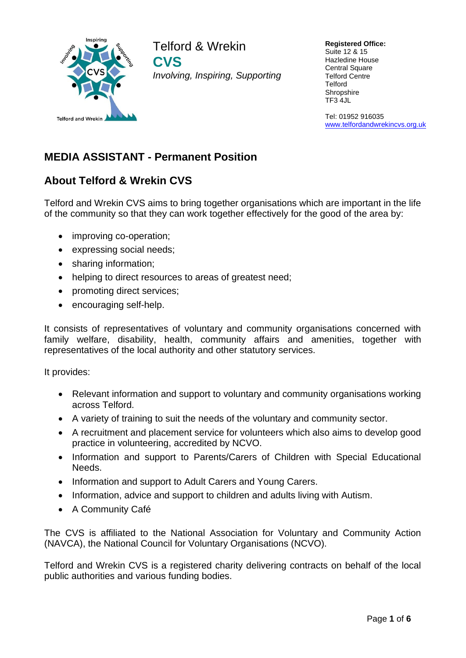

Telford & Wrekin **CVS** *Involving, Inspiring, Supporting*

**Registered Office:** Suite 12 & 15 Hazledine House Central Square Telford Centre **Telford Shropshire** TF3 4JL

Tel: 01952 916035 [www.telfordandwrekincvs.org.uk](http://www.telfordandwrekincvs.org.uk/)

# **MEDIA ASSISTANT - Permanent Position**

# **About Telford & Wrekin CVS**

Telford and Wrekin CVS aims to bring together organisations which are important in the life of the community so that they can work together effectively for the good of the area by:

- improving co-operation;
- expressing social needs;
- sharing information;
- helping to direct resources to areas of greatest need;
- promoting direct services;
- encouraging self-help.

It consists of representatives of voluntary and community organisations concerned with family welfare, disability, health, community affairs and amenities, together with representatives of the local authority and other statutory services.

It provides:

- Relevant information and support to voluntary and community organisations working across Telford.
- A variety of training to suit the needs of the voluntary and community sector.
- A recruitment and placement service for volunteers which also aims to develop good practice in volunteering, accredited by NCVO.
- Information and support to Parents/Carers of Children with Special Educational Needs.
- Information and support to Adult Carers and Young Carers.
- Information, advice and support to children and adults living with Autism.
- A Community Café

The CVS is affiliated to the National Association for Voluntary and Community Action (NAVCA), the National Council for Voluntary Organisations (NCVO).

Telford and Wrekin CVS is a registered charity delivering contracts on behalf of the local public authorities and various funding bodies.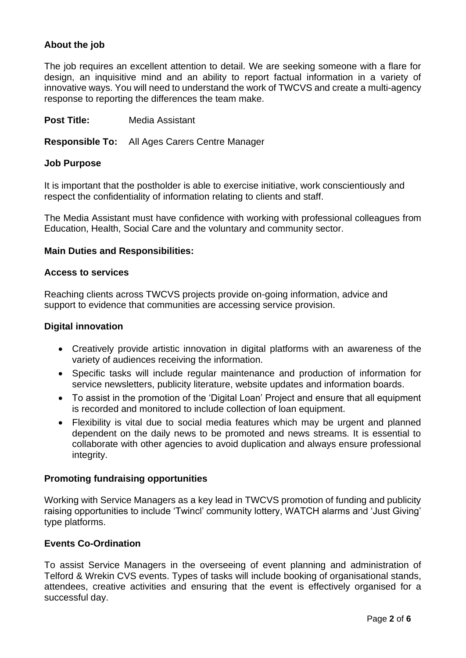## **About the job**

The job requires an excellent attention to detail. We are seeking someone with a flare for design, an inquisitive mind and an ability to report factual information in a variety of innovative ways. You will need to understand the work of TWCVS and create a multi-agency response to reporting the differences the team make.

**Post Title:** Media Assistant

**Responsible To:** All Ages Carers Centre Manager

#### **Job Purpose**

It is important that the postholder is able to exercise initiative, work conscientiously and respect the confidentiality of information relating to clients and staff.

The Media Assistant must have confidence with working with professional colleagues from Education, Health, Social Care and the voluntary and community sector.

#### **Main Duties and Responsibilities:**

#### **Access to services**

Reaching clients across TWCVS projects provide on-going information, advice and support to evidence that communities are accessing service provision.

#### **Digital innovation**

- Creatively provide artistic innovation in digital platforms with an awareness of the variety of audiences receiving the information.
- Specific tasks will include regular maintenance and production of information for service newsletters, publicity literature, website updates and information boards.
- To assist in the promotion of the 'Digital Loan' Project and ensure that all equipment is recorded and monitored to include collection of loan equipment.
- Flexibility is vital due to social media features which may be urgent and planned dependent on the daily news to be promoted and news streams. It is essential to collaborate with other agencies to avoid duplication and always ensure professional integrity.

#### **Promoting fundraising opportunities**

Working with Service Managers as a key lead in TWCVS promotion of funding and publicity raising opportunities to include 'Twincl' community lottery, WATCH alarms and 'Just Giving' type platforms.

### **Events Co-Ordination**

To assist Service Managers in the overseeing of event planning and administration of Telford & Wrekin CVS events. Types of tasks will include booking of organisational stands, attendees, creative activities and ensuring that the event is effectively organised for a successful day.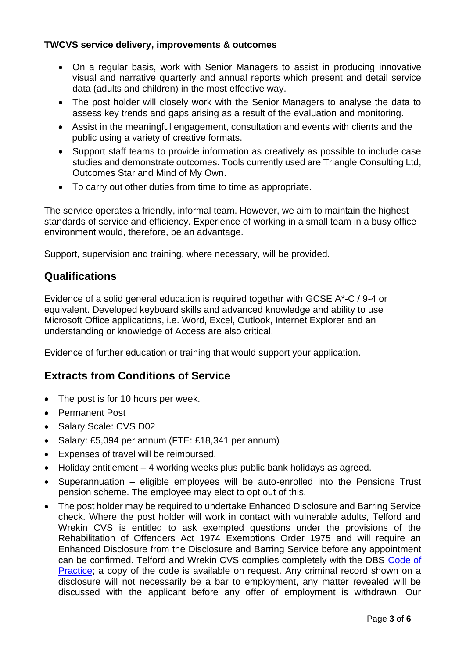## **TWCVS service delivery, improvements & outcomes**

- On a regular basis, work with Senior Managers to assist in producing innovative visual and narrative quarterly and annual reports which present and detail service data (adults and children) in the most effective way.
- The post holder will closely work with the Senior Managers to analyse the data to assess key trends and gaps arising as a result of the evaluation and monitoring.
- Assist in the meaningful engagement, consultation and events with clients and the public using a variety of creative formats.
- Support staff teams to provide information as creatively as possible to include case studies and demonstrate outcomes. Tools currently used are Triangle Consulting Ltd, Outcomes Star and Mind of My Own.
- To carry out other duties from time to time as appropriate.

The service operates a friendly, informal team. However, we aim to maintain the highest standards of service and efficiency. Experience of working in a small team in a busy office environment would, therefore, be an advantage.

Support, supervision and training, where necessary, will be provided.

## **Qualifications**

Evidence of a solid general education is required together with GCSE A\*-C / 9-4 or equivalent. Developed keyboard skills and advanced knowledge and ability to use Microsoft Office applications, i.e. Word, Excel, Outlook, Internet Explorer and an understanding or knowledge of Access are also critical.

Evidence of further education or training that would support your application.

## **Extracts from Conditions of Service**

- The post is for 10 hours per week.
- Permanent Post
- Salary Scale: CVS D02
- Salary: £5,094 per annum (FTE: £18,341 per annum)
- Expenses of travel will be reimbursed.
- Holiday entitlement 4 working weeks plus public bank holidays as agreed.
- Superannuation eligible employees will be auto-enrolled into the Pensions Trust pension scheme. The employee may elect to opt out of this.
- The post holder may be required to undertake Enhanced Disclosure and Barring Service check. Where the post holder will work in contact with vulnerable adults, Telford and Wrekin CVS is entitled to ask exempted questions under the provisions of the Rehabilitation of Offenders Act 1974 Exemptions Order 1975 and will require an Enhanced Disclosure from the Disclosure and Barring Service before any appointment can be confirmed. Telford and Wrekin CVS complies completely with the DBS [Code of](https://www.gov.uk/government/publications/dbs-code-of-practice)  [Practice;](https://www.gov.uk/government/publications/dbs-code-of-practice) a copy of the code is available on request. Any criminal record shown on a disclosure will not necessarily be a bar to employment, any matter revealed will be discussed with the applicant before any offer of employment is withdrawn. Our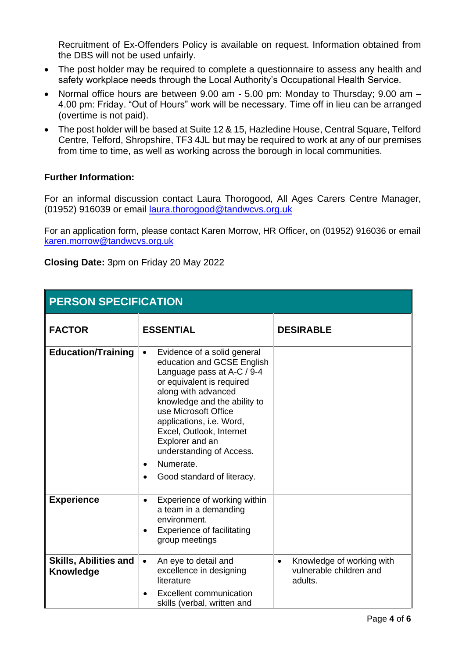Recruitment of Ex-Offenders Policy is available on request. Information obtained from the DBS will not be used unfairly.

- The post holder may be required to complete a questionnaire to assess any health and safety workplace needs through the Local Authority's Occupational Health Service.
- Normal office hours are between 9.00 am 5.00 pm: Monday to Thursday; 9.00 am 4.00 pm: Friday. "Out of Hours" work will be necessary. Time off in lieu can be arranged (overtime is not paid).
- The post holder will be based at Suite 12 & 15, Hazledine House, Central Square, Telford Centre, Telford, Shropshire, TF3 4JL but may be required to work at any of our premises from time to time, as well as working across the borough in local communities.

## **Further Information:**

For an informal discussion contact Laura Thorogood, All Ages Carers Centre Manager, (01952) 916039 or email [laura.thorogood@tandwcvs.org.uk](mailto:laura.thorogood@tandwcvs.org.uk)

For an application form, please contact Karen Morrow, HR Officer, on (01952) 916036 or email [karen.morrow@tandwcvs.org.uk](mailto:karen.morrow@tandwcvs.org.uk)

**Closing Date:** 3pm on Friday 20 May 2022

| <b>PERSON SPECIFICATION</b>               |                                                                                                                                                                                                                                                                                                                                                                                 |                                                                              |  |
|-------------------------------------------|---------------------------------------------------------------------------------------------------------------------------------------------------------------------------------------------------------------------------------------------------------------------------------------------------------------------------------------------------------------------------------|------------------------------------------------------------------------------|--|
| <b>FACTOR</b>                             | <b>ESSENTIAL</b>                                                                                                                                                                                                                                                                                                                                                                | <b>DESIRABLE</b>                                                             |  |
| <b>Education/Training</b>                 | Evidence of a solid general<br>$\bullet$<br>education and GCSE English<br>Language pass at A-C / 9-4<br>or equivalent is required<br>along with advanced<br>knowledge and the ability to<br>use Microsoft Office<br>applications, i.e. Word,<br>Excel, Outlook, Internet<br>Explorer and an<br>understanding of Access.<br>Numerate.<br>$\bullet$<br>Good standard of literacy. |                                                                              |  |
| <b>Experience</b>                         | Experience of working within<br>$\bullet$<br>a team in a demanding<br>environment.<br><b>Experience of facilitating</b><br>group meetings                                                                                                                                                                                                                                       |                                                                              |  |
| <b>Skills, Abilities and</b><br>Knowledge | An eye to detail and<br>$\bullet$<br>excellence in designing<br>literature<br><b>Excellent communication</b><br>skills (verbal, written and                                                                                                                                                                                                                                     | Knowledge of working with<br>$\bullet$<br>vulnerable children and<br>adults. |  |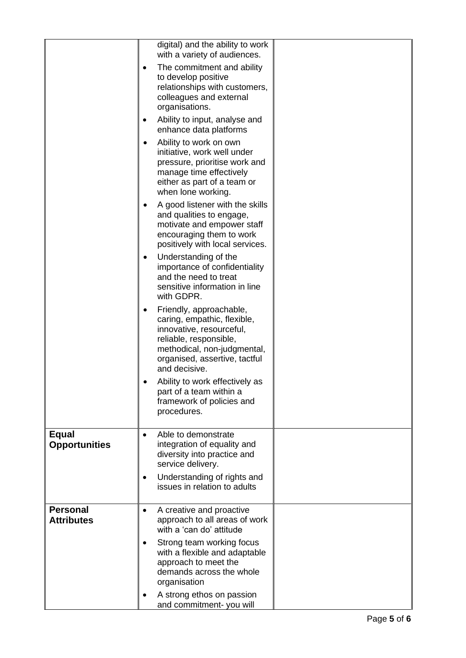|                                      | digital) and the ability to work<br>with a variety of audiences.                                                                                                                                   |
|--------------------------------------|----------------------------------------------------------------------------------------------------------------------------------------------------------------------------------------------------|
|                                      | The commitment and ability<br>$\bullet$<br>to develop positive<br>relationships with customers,<br>colleagues and external<br>organisations.                                                       |
|                                      | Ability to input, analyse and<br>٠<br>enhance data platforms                                                                                                                                       |
|                                      | Ability to work on own<br>$\bullet$<br>initiative, work well under<br>pressure, prioritise work and<br>manage time effectively<br>either as part of a team or<br>when lone working.                |
|                                      | A good listener with the skills<br>٠<br>and qualities to engage,<br>motivate and empower staff<br>encouraging them to work<br>positively with local services.                                      |
|                                      | Understanding of the<br>٠<br>importance of confidentiality<br>and the need to treat<br>sensitive information in line<br>with GDPR.                                                                 |
|                                      | Friendly, approachable,<br>٠<br>caring, empathic, flexible,<br>innovative, resourceful,<br>reliable, responsible,<br>methodical, non-judgmental,<br>organised, assertive, tactful<br>and decisive. |
|                                      | Ability to work effectively as<br>part of a team within a<br>framework of policies and<br>procedures.                                                                                              |
| <b>Equal</b><br><b>Opportunities</b> | Able to demonstrate<br>$\bullet$<br>integration of equality and<br>diversity into practice and<br>service delivery.                                                                                |
|                                      | Understanding of rights and<br>٠<br>issues in relation to adults                                                                                                                                   |
| <b>Personal</b><br><b>Attributes</b> | A creative and proactive<br>$\bullet$<br>approach to all areas of work<br>with a 'can do' attitude                                                                                                 |
|                                      | Strong team working focus<br>٠<br>with a flexible and adaptable<br>approach to meet the<br>demands across the whole<br>organisation                                                                |
|                                      | A strong ethos on passion<br>and commitment-you will                                                                                                                                               |